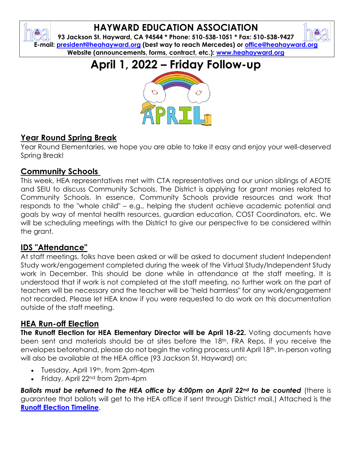## **HAYWARD EDUCATION ASSOCIATION**

**93 Jackson St. Hayward, CA 94544 \* Phone: 510-538-1051 \* Fax: 510-538-9427 E-mail: [president@heahayward.org](mailto:president@heahayward.org) (best way to reach Mercedes) or [office@heahayward.org](mailto:office@heahayward.org) Website (announcements, forms, contract, etc.): [www.heahayward.org](http://www.heahayward.org/)**

**April 1, 2022 – Friday Follow-up**



#### **Year Round Spring Break**

Year Round Elementaries, we hope you are able to take it easy and enjoy your well-deserved Spring Break!

#### **Community Schools**

This week, HEA representatives met with CTA representatives and our union siblings of AEOTE and SEIU to discuss Community Schools. The District is applying for grant monies related to Community Schools. In essence, Community Schools provide resources and work that responds to the "whole child" – e.g., helping the student achieve academic potential and goals by way of mental health resources, guardian education, COST Coordinators, etc. We will be scheduling meetings with the District to give our perspective to be considered within the grant.

#### **IDS "Attendance"**

At staff meetings, folks have been asked or will be asked to document student Independent Study work/engagement completed during the week of the Virtual Study/Independent Study work in December. This should be done while in attendance at the staff meeting. It is understood that if work is not completed at the staff meeting, no further work on the part of teachers will be necessary and the teacher will be "held harmless" for any work/engagement not recorded. Please let HEA know if you were requested to do work on this documentation outside of the staff meeting.

#### **HEA Run-off Election**

**The Runoff Election for HEA Elementary Director will be April 18-22.** Voting documents have been sent and materials should be at sites before the 18<sup>th</sup>. FRA Reps, if you receive the envelopes beforehand, please do not begin the voting process until April 18th. In-person voting will also be available at the HEA office (93 Jackson St. Hayward) on:

- Tuesday, April 19th, from 2pm-4pm
- Friday, April 22nd from 2pm-4pm

*Ballots must be returned to the HEA office by 4:00pm on April 22nd to be counted* (there is guarantee that ballots will get to the HEA office if sent through District mail.) Attached is the **[Runoff Election Timeline](https://drive.google.com/file/d/1VcXgkK1FdvK0kbUUIwBAMBxyeZTGQFpJ/view?usp=sharing)**.